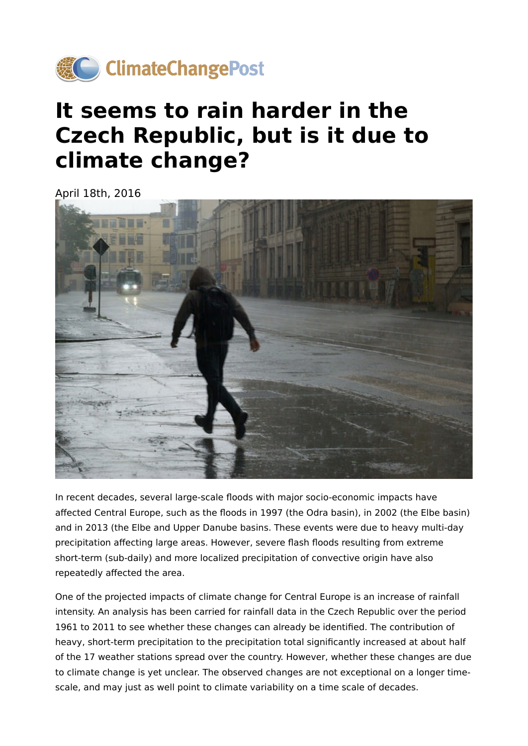

## **It seems to rain harder in the Czech Republic, but is it due to climate change?**

April 18th, 2016



In recent decades, several large-scale floods with major socio-economic impacts have affected Central Europe, such as the floods in 1997 (the Odra basin), in 2002 (the Elbe basin) and in 2013 (the Elbe and Upper Danube basins. These events were due to heavy multi-day precipitation affecting large areas. However, severe flash floods resulting from extreme short-term (sub-daily) and more localized precipitation of convective origin have also repeatedly affected the area.

One of the projected impacts of climate change for Central Europe is an increase of rainfall intensity. An analysis has been carried for rainfall data in the Czech Republic over the period 1961 to 2011 to see whether these changes can already be identified. The contribution of heavy, short-term precipitation to the precipitation total significantly increased at about half of the 17 weather stations spread over the country. However, whether these changes are due to climate change is yet unclear. The observed changes are not exceptional on a longer timescale, and may just as well point to climate variability on a time scale of decades.